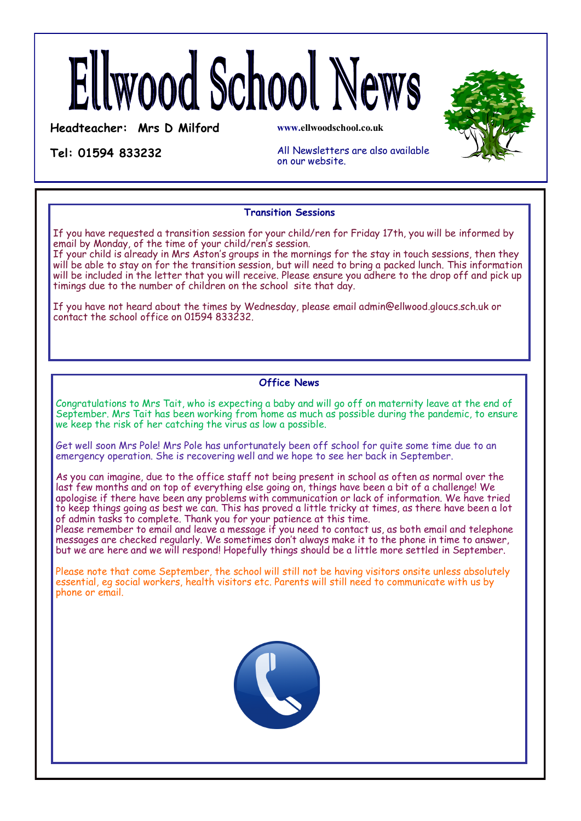# Ellwood School News

**Headteacher: Mrs D Milford**

**www.ellwoodschool.co.uk**

**Tel: 01594 833232** 

All Newsletters are also available on our website.

# **Transition Sessions**

If you have requested a transition session for your child/ren for Friday 17th, you will be informed by email by Monday, of the time of your child/ren's session.

If your child is already in Mrs Aston's groups in the mornings for the stay in touch sessions, then they will be able to stay on for the transition session, but will need to bring a packed lunch. This information will be included in the letter that you will receive. Please ensure you adhere to the drop off and pick up timings due to the number of children on the school site that day.

If you have not heard about the times by Wednesday, please email admin@ellwood.gloucs.sch.uk or contact the school office on 01594 833232.

# **Office News**

Congratulations to Mrs Tait, who is expecting a baby and will go off on maternity leave at the end of September. Mrs Tait has been working from home as much as possible during the pandemic, to ensure we keep the risk of her catching the virus as low a possible.

Get well soon Mrs Pole! Mrs Pole has unfortunately been off school for quite some time due to an emergency operation. She is recovering well and we hope to see her back in September.

As you can imagine, due to the office staff not being present in school as often as normal over the last few months and on top of everything else going on, things have been a bit of a challenge! We apologise if there have been any problems with communication or lack of information. We have tried to keep things going as best we can. This has proved a little tricky at times, as there have been a lot of admin tasks to complete. Thank you for your patience at this time.

Please remember to email and leave a message if you need to contact us, as both email and telephone messages are checked regularly. We sometimes don't always make it to the phone in time to answer, but we are here and we will respond! Hopefully things should be a little more settled in September.

Please note that come September, the school will still not be having visitors onsite unless absolutely essential, eg social workers, health visitors etc. Parents will still need to communicate with us by phone or email.



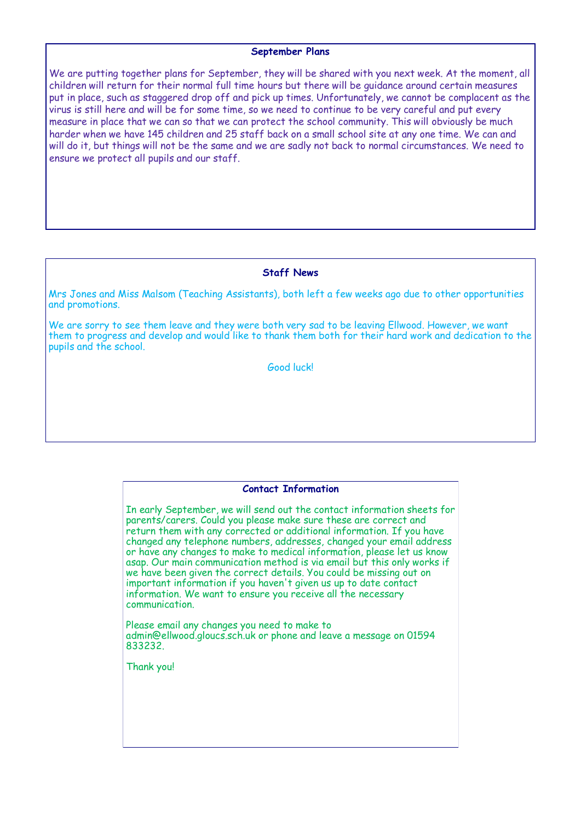## **September Plans**

We are putting together plans for September, they will be shared with you next week. At the moment, all children will return for their normal full time hours but there will be guidance around certain measures put in place, such as staggered drop off and pick up times. Unfortunately, we cannot be complacent as the virus is still here and will be for some time, so we need to continue to be very careful and put every measure in place that we can so that we can protect the school community. This will obviously be much harder when we have 145 children and 25 staff back on a small school site at any one time. We can and will do it, but things will not be the same and we are sadly not back to normal circumstances. We need to ensure we protect all pupils and our staff.

## **Staff News**

Mrs Jones and Miss Malsom (Teaching Assistants), both left a few weeks ago due to other opportunities and promotions.

We are sorry to see them leave and they were both very sad to be leaving Ellwood. However, we want them to progress and develop and would like to thank them both for their hard work and dedication to the pupils and the school.

Good luck!

## **Contact Information**

In early September, we will send out the contact information sheets for parents/carers. Could you please make sure these are correct and return them with any corrected or additional information. If you have changed any telephone numbers, addresses, changed your email address or have any changes to make to medical information, please let us know asap. Our main communication method is via email but this only works if we have been given the correct details. You could be missing out on important information if you haven't given us up to date contact information. We want to ensure you receive all the necessary communication.

Please email any changes you need to make to admin@ellwood.gloucs.sch.uk or phone and leave a message on 01594 833232.

Thank you!